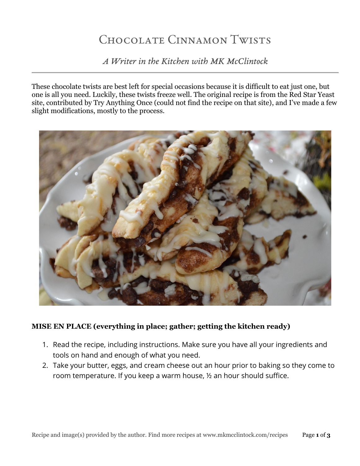# Chocolate Cinnamon Twists

*A Writer in the Kitchen with MK McClintock*

These chocolate twists are best left for special occasions because it is difficult to eat just one, but one is all you need. Luckily, these twists freeze well. The original recipe is from the Red Star Yeast site, contributed by Try Anything Once (could not find the recipe on that site), and I've made a few slight modifications, mostly to the process.



# **MISE EN PLACE (everything in place; gather; getting the kitchen ready)**

- 1. Read the recipe, including instructions. Make sure you have all your ingredients and tools on hand and enough of what you need.
- 2. Take your butter, eggs, and cream cheese out an hour prior to baking so they come to room temperature. If you keep a warm house, ½ an hour should suffice.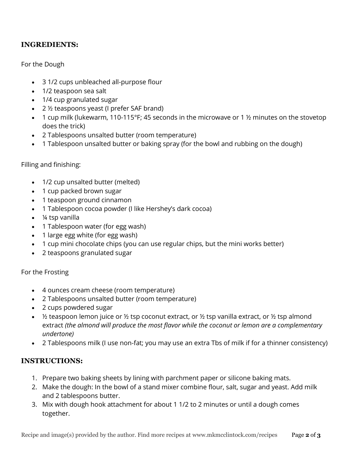## **INGREDIENTS:**

#### For the Dough

- 3 1/2 cups unbleached all-purpose flour
- 1/2 teaspoon sea salt
- 1/4 cup granulated sugar
- 2 ½ teaspoons yeast (I prefer SAF brand)
- 1 cup milk (lukewarm, 110-115°F; 45 seconds in the microwave or 1  $\frac{1}{2}$  minutes on the stovetop does the trick)
- 2 Tablespoons unsalted butter (room temperature)
- 1 Tablespoon unsalted butter or baking spray (for the bowl and rubbing on the dough)

#### Filling and finishing:

- 1/2 cup unsalted butter (melted)
- 1 cup packed brown sugar
- 1 teaspoon ground cinnamon
- 1 Tablespoon cocoa powder (I like Hershey's dark cocoa)
- ¼ tsp vanilla
- 1 Tablespoon water (for egg wash)
- 1 large egg white (for egg wash)
- 1 cup mini chocolate chips (you can use regular chips, but the mini works better)
- 2 teaspoons granulated sugar

#### For the Frosting

- 4 ounces cream cheese (room temperature)
- 2 Tablespoons unsalted butter (room temperature)
- 2 cups powdered sugar
- $\frac{1}{2}$  teaspoon lemon juice or  $\frac{1}{2}$  tsp coconut extract, or  $\frac{1}{2}$  tsp vanilla extract, or  $\frac{1}{2}$  tsp almond extract *(the almond will produce the most flavor while the coconut or lemon are a complementary undertone)*
- 2 Tablespoons milk (I use non-fat; you may use an extra Tbs of milk if for a thinner consistency)

## **INSTRUCTIONS:**

- 1. Prepare two baking sheets by lining with parchment paper or silicone baking mats.
- 2. Make the dough: In the bowl of a stand mixer combine flour, salt, sugar and yeast. Add milk and 2 tablespoons butter.
- 3. Mix with dough hook attachment for about 1 1/2 to 2 minutes or until a dough comes together.